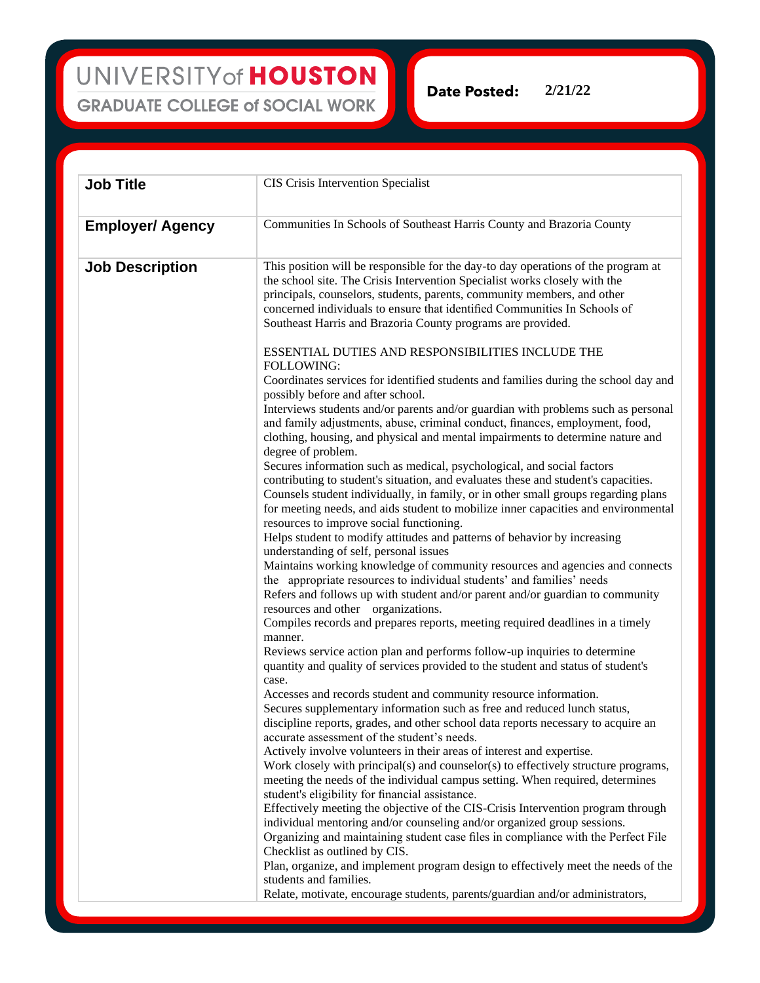UNIVERSITY of HOUSTON **GRADUATE COLLEGE of SOCIAL WORK** 

**2/21/22Date Posted:** 

| <b>Job Title</b>        | CIS Crisis Intervention Specialist                                                                                                                                                                                                                                                                                                                                                                                                                                                                                                                                                                                                                                                                                                                                                                                                                                                                                                                                                                                                                                                                                                                                                                                                                                                                                                                                                                                                                                                                                                                                                                                                                                                                                                                                                                                                                                                                                                                                                                                                                                                                                                                                                                                                                                                                                                                                                                                                                                                                                                                                                                                |
|-------------------------|-------------------------------------------------------------------------------------------------------------------------------------------------------------------------------------------------------------------------------------------------------------------------------------------------------------------------------------------------------------------------------------------------------------------------------------------------------------------------------------------------------------------------------------------------------------------------------------------------------------------------------------------------------------------------------------------------------------------------------------------------------------------------------------------------------------------------------------------------------------------------------------------------------------------------------------------------------------------------------------------------------------------------------------------------------------------------------------------------------------------------------------------------------------------------------------------------------------------------------------------------------------------------------------------------------------------------------------------------------------------------------------------------------------------------------------------------------------------------------------------------------------------------------------------------------------------------------------------------------------------------------------------------------------------------------------------------------------------------------------------------------------------------------------------------------------------------------------------------------------------------------------------------------------------------------------------------------------------------------------------------------------------------------------------------------------------------------------------------------------------------------------------------------------------------------------------------------------------------------------------------------------------------------------------------------------------------------------------------------------------------------------------------------------------------------------------------------------------------------------------------------------------------------------------------------------------------------------------------------------------|
| <b>Employer/ Agency</b> | Communities In Schools of Southeast Harris County and Brazoria County                                                                                                                                                                                                                                                                                                                                                                                                                                                                                                                                                                                                                                                                                                                                                                                                                                                                                                                                                                                                                                                                                                                                                                                                                                                                                                                                                                                                                                                                                                                                                                                                                                                                                                                                                                                                                                                                                                                                                                                                                                                                                                                                                                                                                                                                                                                                                                                                                                                                                                                                             |
| <b>Job Description</b>  | This position will be responsible for the day-to day operations of the program at<br>the school site. The Crisis Intervention Specialist works closely with the<br>principals, counselors, students, parents, community members, and other<br>concerned individuals to ensure that identified Communities In Schools of<br>Southeast Harris and Brazoria County programs are provided.<br>ESSENTIAL DUTIES AND RESPONSIBILITIES INCLUDE THE<br>FOLLOWING:<br>Coordinates services for identified students and families during the school day and<br>possibly before and after school.<br>Interviews students and/or parents and/or guardian with problems such as personal<br>and family adjustments, abuse, criminal conduct, finances, employment, food,<br>clothing, housing, and physical and mental impairments to determine nature and<br>degree of problem.<br>Secures information such as medical, psychological, and social factors<br>contributing to student's situation, and evaluates these and student's capacities.<br>Counsels student individually, in family, or in other small groups regarding plans<br>for meeting needs, and aids student to mobilize inner capacities and environmental<br>resources to improve social functioning.<br>Helps student to modify attitudes and patterns of behavior by increasing<br>understanding of self, personal issues<br>Maintains working knowledge of community resources and agencies and connects<br>the appropriate resources to individual students' and families' needs<br>Refers and follows up with student and/or parent and/or guardian to community<br>resources and other organizations.<br>Compiles records and prepares reports, meeting required deadlines in a timely<br>manner.<br>Reviews service action plan and performs follow-up inquiries to determine<br>quantity and quality of services provided to the student and status of student's<br>case.<br>Accesses and records student and community resource information.<br>Secures supplementary information such as free and reduced lunch status,<br>discipline reports, grades, and other school data reports necessary to acquire an<br>accurate assessment of the student's needs.<br>Actively involve volunteers in their areas of interest and expertise.<br>Work closely with principal(s) and counselor(s) to effectively structure programs,<br>meeting the needs of the individual campus setting. When required, determines<br>student's eligibility for financial assistance.<br>Effectively meeting the objective of the CIS-Crisis Intervention program through |
|                         | individual mentoring and/or counseling and/or organized group sessions.<br>Organizing and maintaining student case files in compliance with the Perfect File<br>Checklist as outlined by CIS.<br>Plan, organize, and implement program design to effectively meet the needs of the<br>students and families.                                                                                                                                                                                                                                                                                                                                                                                                                                                                                                                                                                                                                                                                                                                                                                                                                                                                                                                                                                                                                                                                                                                                                                                                                                                                                                                                                                                                                                                                                                                                                                                                                                                                                                                                                                                                                                                                                                                                                                                                                                                                                                                                                                                                                                                                                                      |
|                         | Relate, motivate, encourage students, parents/guardian and/or administrators,                                                                                                                                                                                                                                                                                                                                                                                                                                                                                                                                                                                                                                                                                                                                                                                                                                                                                                                                                                                                                                                                                                                                                                                                                                                                                                                                                                                                                                                                                                                                                                                                                                                                                                                                                                                                                                                                                                                                                                                                                                                                                                                                                                                                                                                                                                                                                                                                                                                                                                                                     |